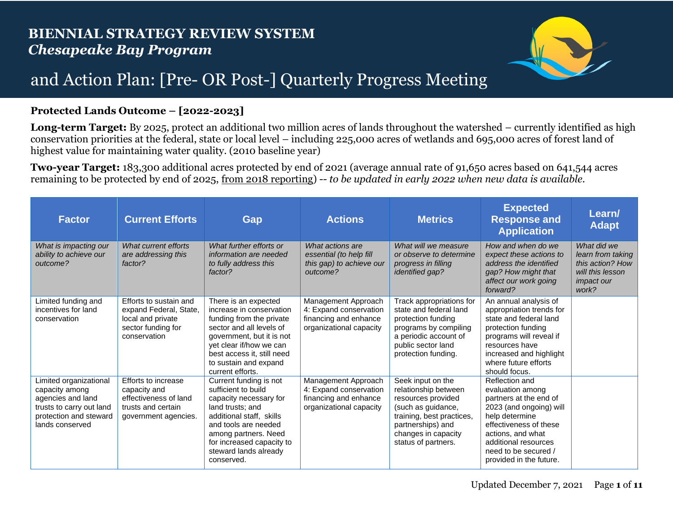

## and Action Plan: [Pre- OR Post-] Quarterly Progress Meeting

## **Protected Lands Outcome – [2022-2023]**

**Long-term Target:** By 2025, protect an additional two million acres of lands throughout the watershed – currently identified as high conservation priorities at the federal, state or local level – including 225,000 acres of wetlands and 695,000 acres of forest land of highest value for maintaining water quality. (2010 baseline year)

**Two-year Target:** 183,300 additional acres protected by end of 2021 (average annual rate of 91,650 acres based on 641,544 acres remaining to be protected by end of 2025, from 2018 reporting) -- *to be updated in early 2022 when new data is available.*

| <b>Factor</b>                                                                                                                          | <b>Current Efforts</b>                                                                                      | Gap                                                                                                                                                                                                                                         | <b>Actions</b>                                                                                    | <b>Metrics</b>                                                                                                                                                                        | <b>Expected</b><br><b>Response and</b><br><b>Application</b>                                                                                                                                                                        | Learn/<br><b>Adapt</b>                                                                                 |
|----------------------------------------------------------------------------------------------------------------------------------------|-------------------------------------------------------------------------------------------------------------|---------------------------------------------------------------------------------------------------------------------------------------------------------------------------------------------------------------------------------------------|---------------------------------------------------------------------------------------------------|---------------------------------------------------------------------------------------------------------------------------------------------------------------------------------------|-------------------------------------------------------------------------------------------------------------------------------------------------------------------------------------------------------------------------------------|--------------------------------------------------------------------------------------------------------|
| What is impacting our<br>ability to achieve our<br>outcome?                                                                            | What current efforts<br>are addressing this<br>factor?                                                      | What further efforts or<br>information are needed<br>to fully address this<br>factor?                                                                                                                                                       | What actions are<br>essential (to help fill<br>this gap) to achieve our<br>outcome?               | What will we measure<br>or observe to determine<br>progress in filling<br><i>identified gap?</i>                                                                                      | How and when do we<br>expect these actions to<br>address the identified<br>gap? How might that<br>affect our work going<br>forward?                                                                                                 | What did we<br>learn from taking<br>this action? How<br>will this lesson<br><i>impact our</i><br>work? |
| Limited funding and<br>incentives for land<br>conservation                                                                             | Efforts to sustain and<br>expand Federal, State,<br>local and private<br>sector funding for<br>conservation | There is an expected<br>increase in conservation<br>funding from the private<br>sector and all levels of<br>government, but it is not<br>yet clear if/how we can<br>best access it, still need<br>to sustain and expand<br>current efforts. | Management Approach<br>4: Expand conservation<br>financing and enhance<br>organizational capacity | Track appropriations for<br>state and federal land<br>protection funding<br>programs by compiling<br>a periodic account of<br>public sector land<br>protection funding.               | An annual analysis of<br>appropriation trends for<br>state and federal land<br>protection funding<br>programs will reveal if<br>resources have<br>increased and highlight<br>where future efforts<br>should focus.                  |                                                                                                        |
| Limited organizational<br>capacity among<br>agencies and land<br>trusts to carry out land<br>protection and steward<br>lands conserved | Efforts to increase<br>capacity and<br>effectiveness of land<br>trusts and certain<br>government agencies.  | Current funding is not<br>sufficient to build<br>capacity necessary for<br>land trusts; and<br>additional staff. skills<br>and tools are needed<br>among partners. Need<br>for increased capacity to<br>steward lands already<br>conserved. | Management Approach<br>4: Expand conservation<br>financing and enhance<br>organizational capacity | Seek input on the<br>relationship between<br>resources provided<br>(such as guidance,<br>training, best practices,<br>partnerships) and<br>changes in capacity<br>status of partners. | Reflection and<br>evaluation among<br>partners at the end of<br>2023 (and ongoing) will<br>help determine<br>effectiveness of these<br>actions, and what<br>additional resources<br>need to be secured /<br>provided in the future. |                                                                                                        |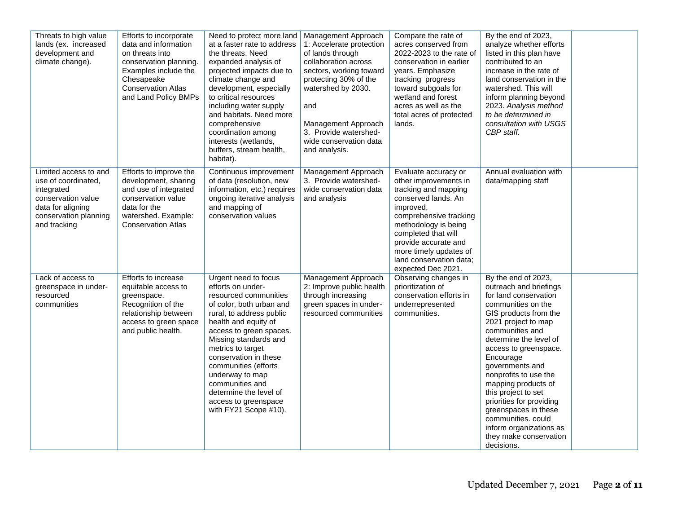| Threats to high value<br>lands (ex. increased<br>development and<br>climate change).                                                           | Efforts to incorporate<br>data and information<br>on threats into<br>conservation planning.<br>Examples include the<br>Chesapeake<br><b>Conservation Atlas</b><br>and Land Policy BMPs | Need to protect more land<br>at a faster rate to address<br>the threats. Need<br>expanded analysis of<br>projected impacts due to<br>climate change and<br>development, especially<br>to critical resources<br>including water supply<br>and habitats. Need more<br>comprehensive<br>coordination among<br>interests (wetlands,<br>buffers, stream health,<br>habitat).                       | Management Approach<br>1: Accelerate protection<br>of lands through<br>collaboration across<br>sectors, working toward<br>protecting 30% of the<br>watershed by 2030.<br>and<br>Management Approach<br>3. Provide watershed-<br>wide conservation data<br>and analysis. | Compare the rate of<br>acres conserved from<br>2022-2023 to the rate of<br>conservation in earlier<br>years. Emphasize<br>tracking progress<br>toward subgoals for<br>wetland and forest<br>acres as well as the<br>total acres of protected<br>lands.                                | By the end of 2023,<br>analyze whether efforts<br>listed in this plan have<br>contributed to an<br>increase in the rate of<br>land conservation in the<br>watershed. This will<br>inform planning beyond<br>2023. Analysis method<br>to be determined in<br>consultation with USGS<br>CBP staff.                                                                                                                                                                       |  |
|------------------------------------------------------------------------------------------------------------------------------------------------|----------------------------------------------------------------------------------------------------------------------------------------------------------------------------------------|-----------------------------------------------------------------------------------------------------------------------------------------------------------------------------------------------------------------------------------------------------------------------------------------------------------------------------------------------------------------------------------------------|-------------------------------------------------------------------------------------------------------------------------------------------------------------------------------------------------------------------------------------------------------------------------|---------------------------------------------------------------------------------------------------------------------------------------------------------------------------------------------------------------------------------------------------------------------------------------|------------------------------------------------------------------------------------------------------------------------------------------------------------------------------------------------------------------------------------------------------------------------------------------------------------------------------------------------------------------------------------------------------------------------------------------------------------------------|--|
| Limited access to and<br>use of coordinated,<br>integrated<br>conservation value<br>data for aligning<br>conservation planning<br>and tracking | Efforts to improve the<br>development, sharing<br>and use of integrated<br>conservation value<br>data for the<br>watershed. Example:<br><b>Conservation Atlas</b>                      | Continuous improvement<br>of data (resolution, new<br>information, etc.) requires<br>ongoing iterative analysis<br>and mapping of<br>conservation values                                                                                                                                                                                                                                      | Management Approach<br>3. Provide watershed-<br>wide conservation data<br>and analysis                                                                                                                                                                                  | Evaluate accuracy or<br>other improvements in<br>tracking and mapping<br>conserved lands. An<br>improved,<br>comprehensive tracking<br>methodology is being<br>completed that will<br>provide accurate and<br>more timely updates of<br>land conservation data;<br>expected Dec 2021. | Annual evaluation with<br>data/mapping staff                                                                                                                                                                                                                                                                                                                                                                                                                           |  |
| Lack of access to<br>greenspace in under-<br>resourced<br>communities                                                                          | Efforts to increase<br>equitable access to<br>greenspace.<br>Recognition of the<br>relationship between<br>access to green space<br>and public health.                                 | Urgent need to focus<br>efforts on under-<br>resourced communities<br>of color, both urban and<br>rural, to address public<br>health and equity of<br>access to green spaces.<br>Missing standards and<br>metrics to target<br>conservation in these<br>communities (efforts<br>underway to map<br>communities and<br>determine the level of<br>access to greenspace<br>with FY21 Scope #10). | Management Approach<br>2: Improve public health<br>through increasing<br>green spaces in under-<br>resourced communities                                                                                                                                                | Observing changes in<br>prioritization of<br>conservation efforts in<br>underrepresented<br>communities.                                                                                                                                                                              | By the end of 2023,<br>outreach and briefings<br>for land conservation<br>communities on the<br>GIS products from the<br>2021 project to map<br>communities and<br>determine the level of<br>access to greenspace.<br>Encourage<br>governments and<br>nonprofits to use the<br>mapping products of<br>this project to set<br>priorities for providing<br>greenspaces in these<br>communities, could<br>inform organizations as<br>they make conservation<br>decisions. |  |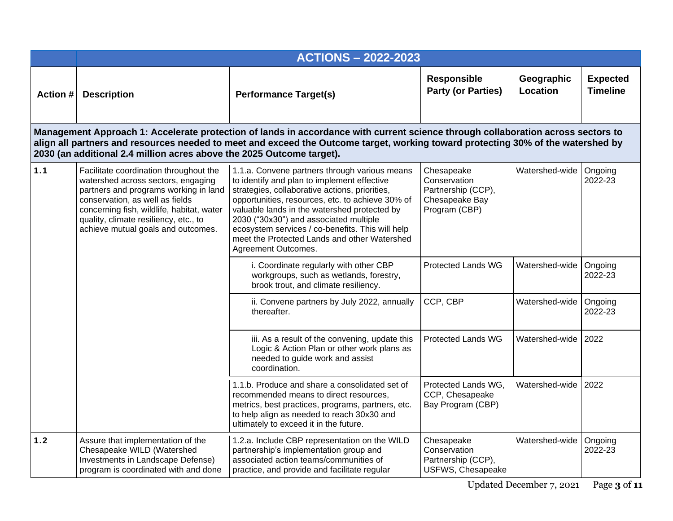|          | <b>ACTIONS - 2022-2023</b>                                                                                                                                                                                                                                                           |                                                                                                                                                                                                                                                                                                                                                                                                                         |                                                                                     |                               |                                    |  |  |
|----------|--------------------------------------------------------------------------------------------------------------------------------------------------------------------------------------------------------------------------------------------------------------------------------------|-------------------------------------------------------------------------------------------------------------------------------------------------------------------------------------------------------------------------------------------------------------------------------------------------------------------------------------------------------------------------------------------------------------------------|-------------------------------------------------------------------------------------|-------------------------------|------------------------------------|--|--|
| Action # | <b>Description</b>                                                                                                                                                                                                                                                                   | <b>Performance Target(s)</b>                                                                                                                                                                                                                                                                                                                                                                                            | <b>Responsible</b><br><b>Party (or Parties)</b>                                     | Geographic<br><b>Location</b> | <b>Expected</b><br><b>Timeline</b> |  |  |
|          | 2030 (an additional 2.4 million acres above the 2025 Outcome target).                                                                                                                                                                                                                | Management Approach 1: Accelerate protection of lands in accordance with current science through collaboration across sectors to<br>align all partners and resources needed to meet and exceed the Outcome target, working toward protecting 30% of the watershed by                                                                                                                                                    |                                                                                     |                               |                                    |  |  |
| 1.1      | Facilitate coordination throughout the<br>watershed across sectors, engaging<br>partners and programs working in land<br>conservation, as well as fields<br>concerning fish, wildlife, habitat, water<br>quality, climate resiliency, etc., to<br>achieve mutual goals and outcomes. | 1.1.a. Convene partners through various means<br>to identify and plan to implement effective<br>strategies, collaborative actions, priorities,<br>opportunities, resources, etc. to achieve 30% of<br>valuable lands in the watershed protected by<br>2030 ("30x30") and associated multiple<br>ecosystem services / co-benefits. This will help<br>meet the Protected Lands and other Watershed<br>Agreement Outcomes. | Chesapeake<br>Conservation<br>Partnership (CCP),<br>Chesapeake Bay<br>Program (CBP) | Watershed-wide                | Ongoing<br>2022-23                 |  |  |
|          |                                                                                                                                                                                                                                                                                      | i. Coordinate regularly with other CBP<br>workgroups, such as wetlands, forestry,<br>brook trout, and climate resiliency.                                                                                                                                                                                                                                                                                               | <b>Protected Lands WG</b>                                                           | Watershed-wide                | Ongoing<br>2022-23                 |  |  |
|          |                                                                                                                                                                                                                                                                                      | ii. Convene partners by July 2022, annually<br>thereafter.                                                                                                                                                                                                                                                                                                                                                              | CCP, CBP                                                                            | Watershed-wide                | Ongoing<br>2022-23                 |  |  |
|          |                                                                                                                                                                                                                                                                                      | iii. As a result of the convening, update this<br>Logic & Action Plan or other work plans as<br>needed to guide work and assist<br>coordination.                                                                                                                                                                                                                                                                        | <b>Protected Lands WG</b>                                                           | Watershed-wide                | 2022                               |  |  |
|          |                                                                                                                                                                                                                                                                                      | 1.1.b. Produce and share a consolidated set of<br>recommended means to direct resources.<br>metrics, best practices, programs, partners, etc.<br>to help align as needed to reach 30x30 and<br>ultimately to exceed it in the future.                                                                                                                                                                                   | Protected Lands WG,<br>CCP, Chesapeake<br>Bay Program (CBP)                         | Watershed-wide                | 2022                               |  |  |
| $1.2$    | Assure that implementation of the<br>Chesapeake WILD (Watershed<br>Investments in Landscape Defense)<br>program is coordinated with and done                                                                                                                                         | 1.2.a. Include CBP representation on the WILD<br>partnership's implementation group and<br>associated action teams/communities of<br>practice, and provide and facilitate regular                                                                                                                                                                                                                                       | Chesapeake<br>Conservation<br>Partnership (CCP),<br>USFWS, Chesapeake               | Watershed-wide                | Ongoing<br>2022-23                 |  |  |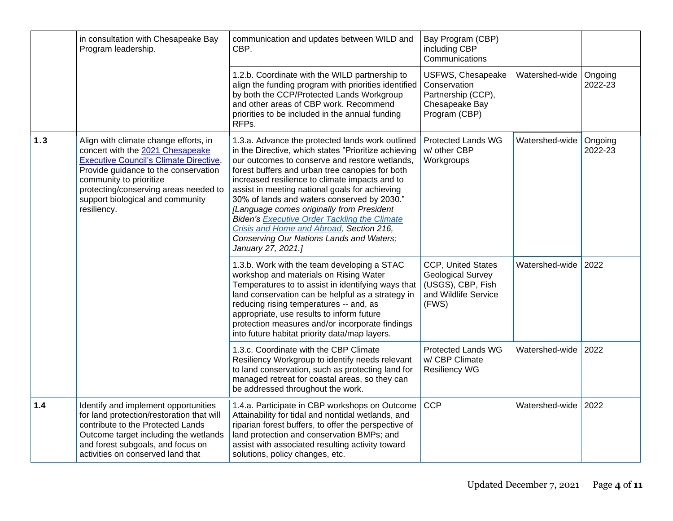|     | in consultation with Chesapeake Bay<br>Program leadership.                                                                                                                                                                                                                                | communication and updates between WILD and<br>CBP.                                                                                                                                                                                                                                                                                                                                                                                                                                                                                                                                 | Bay Program (CBP)<br>including CBP<br>Communications                                                 |                |                    |
|-----|-------------------------------------------------------------------------------------------------------------------------------------------------------------------------------------------------------------------------------------------------------------------------------------------|------------------------------------------------------------------------------------------------------------------------------------------------------------------------------------------------------------------------------------------------------------------------------------------------------------------------------------------------------------------------------------------------------------------------------------------------------------------------------------------------------------------------------------------------------------------------------------|------------------------------------------------------------------------------------------------------|----------------|--------------------|
|     |                                                                                                                                                                                                                                                                                           | 1.2.b. Coordinate with the WILD partnership to<br>align the funding program with priorities identified<br>by both the CCP/Protected Lands Workgroup<br>and other areas of CBP work. Recommend<br>priorities to be included in the annual funding<br>RFPs.                                                                                                                                                                                                                                                                                                                          | USFWS, Chesapeake<br>Conservation<br>Partnership (CCP),<br>Chesapeake Bay<br>Program (CBP)           | Watershed-wide | Ongoing<br>2022-23 |
| 1.3 | Align with climate change efforts, in<br>concert with the 2021 Chesapeake<br><b>Executive Council's Climate Directive.</b><br>Provide guidance to the conservation<br>community to prioritize<br>protecting/conserving areas needed to<br>support biological and community<br>resiliency. | 1.3.a. Advance the protected lands work outlined<br>in the Directive, which states "Prioritize achieving<br>our outcomes to conserve and restore wetlands,<br>forest buffers and urban tree canopies for both<br>increased resilience to climate impacts and to<br>assist in meeting national goals for achieving<br>30% of lands and waters conserved by 2030."<br>[Language comes originally from President<br><b>Biden's Executive Order Tackling the Climate</b><br>Crisis and Home and Abroad, Section 216,<br>Conserving Our Nations Lands and Waters;<br>January 27, 2021.] | <b>Protected Lands WG</b><br>w/ other CBP<br>Workgroups                                              | Watershed-wide | Ongoing<br>2022-23 |
|     |                                                                                                                                                                                                                                                                                           | 1.3.b. Work with the team developing a STAC<br>workshop and materials on Rising Water<br>Temperatures to to assist in identifying ways that<br>land conservation can be helpful as a strategy in<br>reducing rising temperatures -- and, as<br>appropriate, use results to inform future<br>protection measures and/or incorporate findings<br>into future habitat priority data/map layers.                                                                                                                                                                                       | CCP, United States<br><b>Geological Survey</b><br>(USGS), CBP, Fish<br>and Wildlife Service<br>(FWS) | Watershed-wide | 2022               |
|     |                                                                                                                                                                                                                                                                                           | 1.3.c. Coordinate with the CBP Climate<br>Resiliency Workgroup to identify needs relevant<br>to land conservation, such as protecting land for<br>managed retreat for coastal areas, so they can<br>be addressed throughout the work.                                                                                                                                                                                                                                                                                                                                              | <b>Protected Lands WG</b><br>w/ CBP Climate<br><b>Resiliency WG</b>                                  | Watershed-wide | 2022               |
| 1.4 | Identify and implement opportunities<br>for land protection/restoration that will<br>contribute to the Protected Lands<br>Outcome target including the wetlands<br>and forest subgoals, and focus on<br>activities on conserved land that                                                 | 1.4.a. Participate in CBP workshops on Outcome<br>Attainability for tidal and nontidal wetlands, and<br>riparian forest buffers, to offer the perspective of<br>land protection and conservation BMPs; and<br>assist with associated resulting activity toward<br>solutions, policy changes, etc.                                                                                                                                                                                                                                                                                  | <b>CCP</b>                                                                                           | Watershed-wide | 2022               |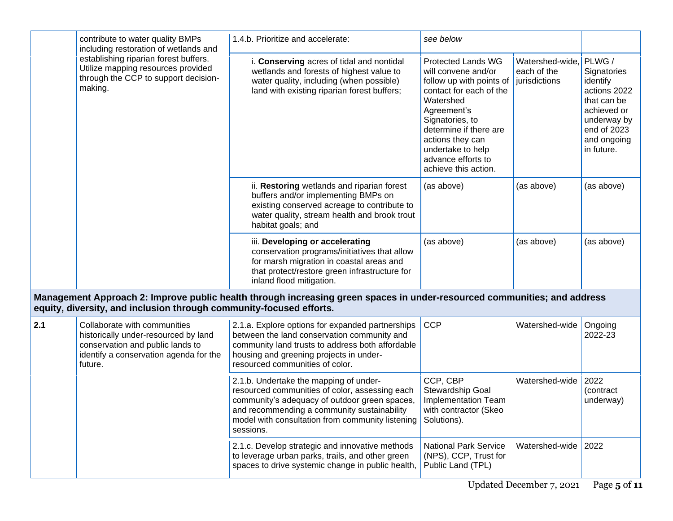|     | contribute to water quality BMPs<br>including restoration of wetlands and<br>establishing riparian forest buffers.<br>Utilize mapping resources provided<br>through the CCP to support decision-<br>making. | 1.4.b. Prioritize and accelerate:                                                                                                                                                                                                                         | see below                                                                                                                                                                                                                                                               |                                                 |                                                                                                                                            |
|-----|-------------------------------------------------------------------------------------------------------------------------------------------------------------------------------------------------------------|-----------------------------------------------------------------------------------------------------------------------------------------------------------------------------------------------------------------------------------------------------------|-------------------------------------------------------------------------------------------------------------------------------------------------------------------------------------------------------------------------------------------------------------------------|-------------------------------------------------|--------------------------------------------------------------------------------------------------------------------------------------------|
|     |                                                                                                                                                                                                             | i. Conserving acres of tidal and nontidal<br>wetlands and forests of highest value to<br>water quality, including (when possible)<br>land with existing riparian forest buffers;                                                                          | <b>Protected Lands WG</b><br>will convene and/or<br>follow up with points of<br>contact for each of the<br>Watershed<br>Agreement's<br>Signatories, to<br>determine if there are<br>actions they can<br>undertake to help<br>advance efforts to<br>achieve this action. | Watershed-wide,<br>each of the<br>jurisdictions | PLWG /<br>Signatories<br>identify<br>actions 2022<br>that can be<br>achieved or<br>underway by<br>end of 2023<br>and ongoing<br>in future. |
|     |                                                                                                                                                                                                             | ii. Restoring wetlands and riparian forest<br>buffers and/or implementing BMPs on<br>existing conserved acreage to contribute to<br>water quality, stream health and brook trout<br>habitat goals; and                                                    | (as above)                                                                                                                                                                                                                                                              | (as above)                                      | (as above)                                                                                                                                 |
|     |                                                                                                                                                                                                             | iii. Developing or accelerating<br>conservation programs/initiatives that allow<br>for marsh migration in coastal areas and<br>that protect/restore green infrastructure for<br>inland flood mitigation.                                                  | (as above)                                                                                                                                                                                                                                                              | (as above)                                      | (as above)                                                                                                                                 |
|     | equity, diversity, and inclusion through community-focused efforts.                                                                                                                                         | Management Approach 2: Improve public health through increasing green spaces in under-resourced communities; and address                                                                                                                                  |                                                                                                                                                                                                                                                                         |                                                 |                                                                                                                                            |
| 2.1 | Collaborate with communities<br>historically under-resourced by land<br>conservation and public lands to<br>identify a conservation agenda for the<br>future.                                               | 2.1.a. Explore options for expanded partnerships<br>between the land conservation community and<br>community land trusts to address both affordable<br>housing and greening projects in under-<br>resourced communities of color.                         | <b>CCP</b>                                                                                                                                                                                                                                                              | Watershed-wide                                  | Ongoing<br>2022-23                                                                                                                         |
|     |                                                                                                                                                                                                             | 2.1.b. Undertake the mapping of under-<br>resourced communities of color, assessing each<br>community's adequacy of outdoor green spaces,<br>and recommending a community sustainability<br>model with consultation from community listening<br>sessions. | CCP, CBP<br>Stewardship Goal<br>Implementation Team<br>with contractor (Skeo<br>Solutions).                                                                                                                                                                             | Watershed-wide                                  | 2022<br>(contract<br>underway)                                                                                                             |
|     |                                                                                                                                                                                                             | 2.1.c. Develop strategic and innovative methods<br>to leverage urban parks, trails, and other green<br>spaces to drive systemic change in public health,                                                                                                  | <b>National Park Service</b><br>(NPS), CCP, Trust for<br>Public Land (TPL)                                                                                                                                                                                              | Watershed-wide                                  | 2022                                                                                                                                       |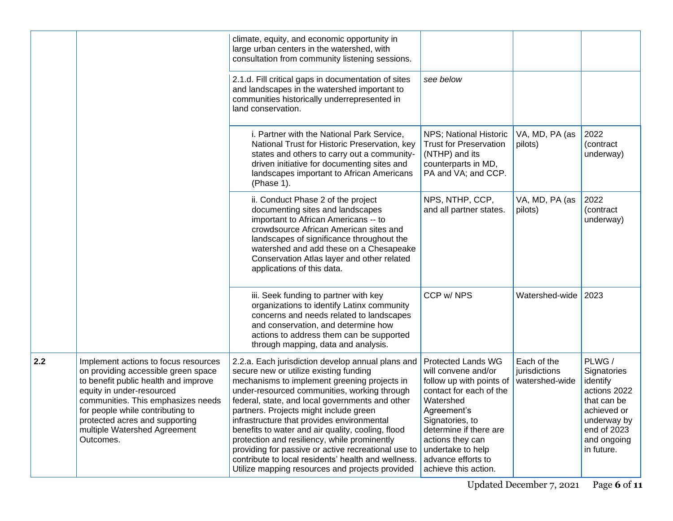|     |                                                                                                                                                                                                                                                                                                           | climate, equity, and economic opportunity in<br>large urban centers in the watershed, with<br>consultation from community listening sessions.<br>2.1.d. Fill critical gaps in documentation of sites<br>and landscapes in the watershed important to<br>communities historically underrepresented in<br>land conservation.                                                                                                                                                                                                                                                                                   | see below                                                                                                                                                                                                                                                               |                                                |                                                                                                                                            |
|-----|-----------------------------------------------------------------------------------------------------------------------------------------------------------------------------------------------------------------------------------------------------------------------------------------------------------|--------------------------------------------------------------------------------------------------------------------------------------------------------------------------------------------------------------------------------------------------------------------------------------------------------------------------------------------------------------------------------------------------------------------------------------------------------------------------------------------------------------------------------------------------------------------------------------------------------------|-------------------------------------------------------------------------------------------------------------------------------------------------------------------------------------------------------------------------------------------------------------------------|------------------------------------------------|--------------------------------------------------------------------------------------------------------------------------------------------|
|     |                                                                                                                                                                                                                                                                                                           | i. Partner with the National Park Service,<br>National Trust for Historic Preservation, key<br>states and others to carry out a community-<br>driven initiative for documenting sites and<br>landscapes important to African Americans<br>(Phase 1).                                                                                                                                                                                                                                                                                                                                                         | NPS; National Historic<br><b>Trust for Preservation</b><br>(NTHP) and its<br>counterparts in MD,<br>PA and VA; and CCP.                                                                                                                                                 | VA, MD, PA (as<br>pilots)                      | 2022<br>(contract<br>underway)                                                                                                             |
|     |                                                                                                                                                                                                                                                                                                           | ii. Conduct Phase 2 of the project<br>documenting sites and landscapes<br>important to African Americans -- to<br>crowdsource African American sites and<br>landscapes of significance throughout the<br>watershed and add these on a Chesapeake<br>Conservation Atlas layer and other related<br>applications of this data.                                                                                                                                                                                                                                                                                 | NPS, NTHP, CCP,<br>and all partner states.                                                                                                                                                                                                                              | VA, MD, PA (as<br>pilots)                      | 2022<br>(contract<br>underway)                                                                                                             |
|     |                                                                                                                                                                                                                                                                                                           | iii. Seek funding to partner with key<br>organizations to identify Latinx community<br>concerns and needs related to landscapes<br>and conservation, and determine how<br>actions to address them can be supported<br>through mapping, data and analysis.                                                                                                                                                                                                                                                                                                                                                    | CCP w/ NPS                                                                                                                                                                                                                                                              | Watershed-wide                                 | 2023                                                                                                                                       |
| 2.2 | Implement actions to focus resources<br>on providing accessible green space<br>to benefit public health and improve<br>equity in under-resourced<br>communities. This emphasizes needs<br>for people while contributing to<br>protected acres and supporting<br>multiple Watershed Agreement<br>Outcomes. | 2.2.a. Each jurisdiction develop annual plans and<br>secure new or utilize existing funding<br>mechanisms to implement greening projects in<br>under-resourced communities, working through<br>federal, state, and local governments and other<br>partners. Projects might include green<br>infrastructure that provides environmental<br>benefits to water and air quality, cooling, flood<br>protection and resiliency, while prominently<br>providing for passive or active recreational use to<br>contribute to local residents' health and wellness.<br>Utilize mapping resources and projects provided | <b>Protected Lands WG</b><br>will convene and/or<br>follow up with points of<br>contact for each of the<br>Watershed<br>Agreement's<br>Signatories, to<br>determine if there are<br>actions they can<br>undertake to help<br>advance efforts to<br>achieve this action. | Each of the<br>jurisdictions<br>watershed-wide | PLWG /<br>Signatories<br>identify<br>actions 2022<br>that can be<br>achieved or<br>underway by<br>end of 2023<br>and ongoing<br>in future. |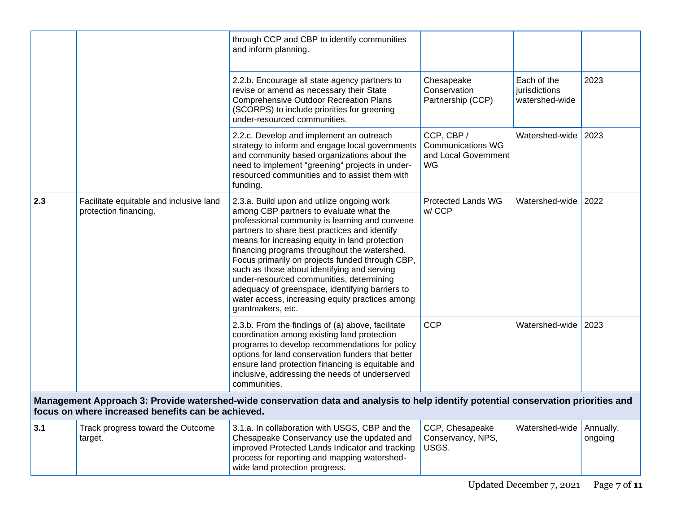|     |                                                                  | through CCP and CBP to identify communities<br>and inform planning.                                                                                                                                                                                                                                                                                                                                                                                                                                                                                                 |                                                                      |                                                |                      |
|-----|------------------------------------------------------------------|---------------------------------------------------------------------------------------------------------------------------------------------------------------------------------------------------------------------------------------------------------------------------------------------------------------------------------------------------------------------------------------------------------------------------------------------------------------------------------------------------------------------------------------------------------------------|----------------------------------------------------------------------|------------------------------------------------|----------------------|
|     |                                                                  | 2.2.b. Encourage all state agency partners to<br>revise or amend as necessary their State<br><b>Comprehensive Outdoor Recreation Plans</b><br>(SCORPS) to include priorities for greening<br>under-resourced communities.                                                                                                                                                                                                                                                                                                                                           | Chesapeake<br>Conservation<br>Partnership (CCP)                      | Each of the<br>jurisdictions<br>watershed-wide | 2023                 |
|     |                                                                  | 2.2.c. Develop and implement an outreach<br>strategy to inform and engage local governments<br>and community based organizations about the<br>need to implement "greening" projects in under-<br>resourced communities and to assist them with<br>funding.                                                                                                                                                                                                                                                                                                          | CCP, CBP /<br><b>Communications WG</b><br>and Local Government<br>WG | Watershed-wide                                 | 2023                 |
| 2.3 | Facilitate equitable and inclusive land<br>protection financing. | 2.3.a. Build upon and utilize ongoing work<br>among CBP partners to evaluate what the<br>professional community is learning and convene<br>partners to share best practices and identify<br>means for increasing equity in land protection<br>financing programs throughout the watershed.<br>Focus primarily on projects funded through CBP,<br>such as those about identifying and serving<br>under-resourced communities, determining<br>adequacy of greenspace, identifying barriers to<br>water access, increasing equity practices among<br>grantmakers, etc. | <b>Protected Lands WG</b><br>w/CCP                                   | Watershed-wide                                 | 2022                 |
|     |                                                                  | 2.3.b. From the findings of (a) above, facilitate<br>coordination among existing land protection<br>programs to develop recommendations for policy<br>options for land conservation funders that better<br>ensure land protection financing is equitable and<br>inclusive, addressing the needs of underserved<br>communities.                                                                                                                                                                                                                                      | <b>CCP</b>                                                           | Watershed-wide                                 | 2023                 |
|     | focus on where increased benefits can be achieved.               | Management Approach 3: Provide watershed-wide conservation data and analysis to help identify potential conservation priorities and                                                                                                                                                                                                                                                                                                                                                                                                                                 |                                                                      |                                                |                      |
| 3.1 | Track progress toward the Outcome<br>target.                     | 3.1.a. In collaboration with USGS, CBP and the<br>Chesapeake Conservancy use the updated and<br>improved Protected Lands Indicator and tracking<br>process for reporting and mapping watershed-<br>wide land protection progress.                                                                                                                                                                                                                                                                                                                                   | CCP, Chesapeake<br>Conservancy, NPS,<br>USGS.                        | Watershed-wide                                 | Annually,<br>ongoing |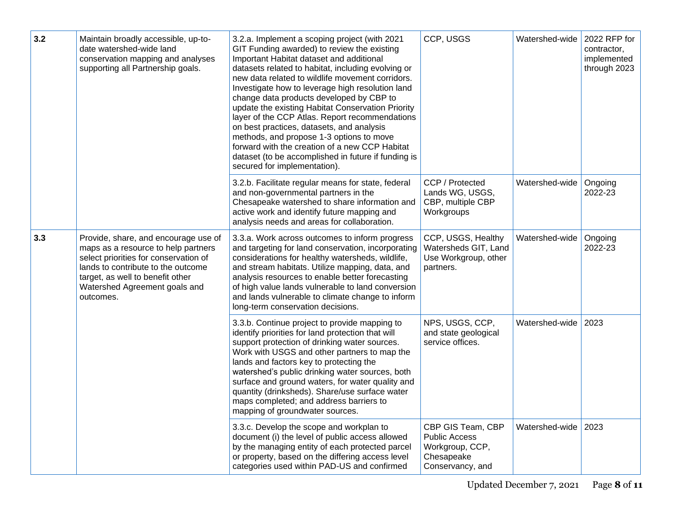| 3.2 | Maintain broadly accessible, up-to-<br>date watershed-wide land<br>conservation mapping and analyses<br>supporting all Partnership goals.                                                                                                    | 3.2.a. Implement a scoping project (with 2021<br>GIT Funding awarded) to review the existing<br>Important Habitat dataset and additional<br>datasets related to habitat, including evolving or<br>new data related to wildlife movement corridors.<br>Investigate how to leverage high resolution land<br>change data products developed by CBP to<br>update the existing Habitat Conservation Priority<br>layer of the CCP Atlas. Report recommendations<br>on best practices, datasets, and analysis<br>methods, and propose 1-3 options to move<br>forward with the creation of a new CCP Habitat<br>dataset (to be accomplished in future if funding is<br>secured for implementation). | CCP, USGS                                                                                      | Watershed-wide | 2022 RFP for<br>contractor,<br>implemented<br>through 2023 |
|-----|----------------------------------------------------------------------------------------------------------------------------------------------------------------------------------------------------------------------------------------------|---------------------------------------------------------------------------------------------------------------------------------------------------------------------------------------------------------------------------------------------------------------------------------------------------------------------------------------------------------------------------------------------------------------------------------------------------------------------------------------------------------------------------------------------------------------------------------------------------------------------------------------------------------------------------------------------|------------------------------------------------------------------------------------------------|----------------|------------------------------------------------------------|
|     |                                                                                                                                                                                                                                              | 3.2.b. Facilitate regular means for state, federal<br>and non-governmental partners in the<br>Chesapeake watershed to share information and<br>active work and identify future mapping and<br>analysis needs and areas for collaboration.                                                                                                                                                                                                                                                                                                                                                                                                                                                   | CCP / Protected<br>Lands WG, USGS,<br>CBP, multiple CBP<br>Workgroups                          | Watershed-wide | Ongoing<br>2022-23                                         |
| 3.3 | Provide, share, and encourage use of<br>maps as a resource to help partners<br>select priorities for conservation of<br>lands to contribute to the outcome<br>target, as well to benefit other<br>Watershed Agreement goals and<br>outcomes. | 3.3.a. Work across outcomes to inform progress<br>and targeting for land conservation, incorporating<br>considerations for healthy watersheds, wildlife,<br>and stream habitats. Utilize mapping, data, and<br>analysis resources to enable better forecasting<br>of high value lands vulnerable to land conversion<br>and lands vulnerable to climate change to inform<br>long-term conservation decisions.                                                                                                                                                                                                                                                                                | CCP, USGS, Healthy<br>Watersheds GIT, Land<br>Use Workgroup, other<br>partners.                | Watershed-wide | Ongoing<br>2022-23                                         |
|     |                                                                                                                                                                                                                                              | 3.3.b. Continue project to provide mapping to<br>identify priorities for land protection that will<br>support protection of drinking water sources.<br>Work with USGS and other partners to map the<br>lands and factors key to protecting the<br>watershed's public drinking water sources, both<br>surface and ground waters, for water quality and<br>quantity (drinksheds). Share/use surface water<br>maps completed; and address barriers to<br>mapping of groundwater sources.                                                                                                                                                                                                       | NPS, USGS, CCP,<br>and state geological<br>service offices.                                    | Watershed-wide | 2023                                                       |
|     |                                                                                                                                                                                                                                              | 3.3.c. Develop the scope and workplan to<br>document (i) the level of public access allowed<br>by the managing entity of each protected parcel<br>or property, based on the differing access level<br>categories used within PAD-US and confirmed                                                                                                                                                                                                                                                                                                                                                                                                                                           | CBP GIS Team, CBP<br><b>Public Access</b><br>Workgroup, CCP,<br>Chesapeake<br>Conservancy, and | Watershed-wide | 2023                                                       |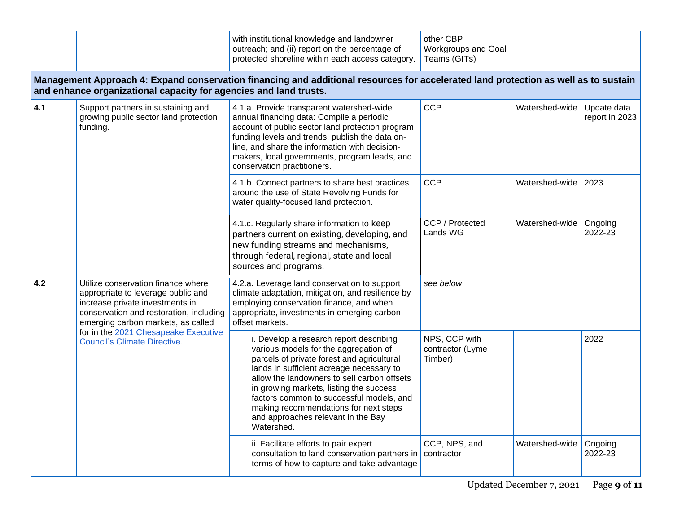|                 |                                                                                                                                                                                                                                                                             | with institutional knowledge and landowner<br>outreach; and (ii) report on the percentage of<br>protected shoreline within each access category.                                                                                                                                                                                                                                                              | other CBP<br>Workgroups and Goal<br>Teams (GITs) |                |                               |
|-----------------|-----------------------------------------------------------------------------------------------------------------------------------------------------------------------------------------------------------------------------------------------------------------------------|---------------------------------------------------------------------------------------------------------------------------------------------------------------------------------------------------------------------------------------------------------------------------------------------------------------------------------------------------------------------------------------------------------------|--------------------------------------------------|----------------|-------------------------------|
|                 | and enhance organizational capacity for agencies and land trusts.                                                                                                                                                                                                           | Management Approach 4: Expand conservation financing and additional resources for accelerated land protection as well as to sustain                                                                                                                                                                                                                                                                           |                                                  |                |                               |
| 4.1<br>funding. | Support partners in sustaining and<br>growing public sector land protection                                                                                                                                                                                                 | 4.1.a. Provide transparent watershed-wide<br>annual financing data: Compile a periodic<br>account of public sector land protection program<br>funding levels and trends, publish the data on-<br>line, and share the information with decision-<br>makers, local governments, program leads, and<br>conservation practitioners.                                                                               | <b>CCP</b>                                       | Watershed-wide | Update data<br>report in 2023 |
|                 |                                                                                                                                                                                                                                                                             | 4.1.b. Connect partners to share best practices<br>around the use of State Revolving Funds for<br>water quality-focused land protection.                                                                                                                                                                                                                                                                      | <b>CCP</b>                                       | Watershed-wide | 2023                          |
|                 |                                                                                                                                                                                                                                                                             | 4.1.c. Regularly share information to keep<br>partners current on existing, developing, and<br>new funding streams and mechanisms,<br>through federal, regional, state and local<br>sources and programs.                                                                                                                                                                                                     | CCP / Protected<br>Lands WG                      | Watershed-wide | Ongoing<br>2022-23            |
| 4.2             | Utilize conservation finance where<br>appropriate to leverage public and<br>increase private investments in<br>conservation and restoration, including<br>emerging carbon markets, as called<br>for in the 2021 Chesapeake Executive<br><b>Council's Climate Directive.</b> | 4.2.a. Leverage land conservation to support<br>climate adaptation, mitigation, and resilience by<br>employing conservation finance, and when<br>appropriate, investments in emerging carbon<br>offset markets.                                                                                                                                                                                               | see below                                        |                |                               |
|                 |                                                                                                                                                                                                                                                                             | i. Develop a research report describing<br>various models for the aggregation of<br>parcels of private forest and agricultural<br>lands in sufficient acreage necessary to<br>allow the landowners to sell carbon offsets<br>in growing markets, listing the success<br>factors common to successful models, and<br>making recommendations for next steps<br>and approaches relevant in the Bay<br>Watershed. | NPS, CCP with<br>contractor (Lyme<br>Timber).    |                | 2022                          |
|                 |                                                                                                                                                                                                                                                                             | ii. Facilitate efforts to pair expert<br>consultation to land conservation partners in   contractor<br>terms of how to capture and take advantage                                                                                                                                                                                                                                                             | CCP, NPS, and                                    | Watershed-wide | Ongoing<br>2022-23            |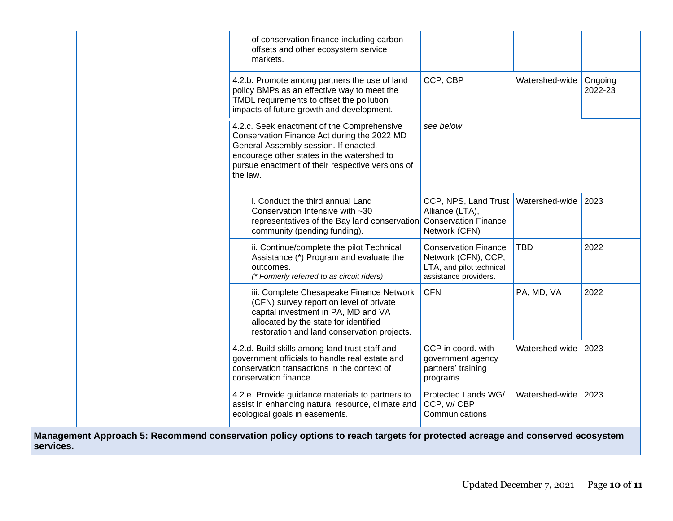|           |                                                                                                                                                                                                                    | of conservation finance including carbon<br>offsets and other ecosystem service<br>markets.                                                                                                                                                      |                                                                                                         |                |                    |
|-----------|--------------------------------------------------------------------------------------------------------------------------------------------------------------------------------------------------------------------|--------------------------------------------------------------------------------------------------------------------------------------------------------------------------------------------------------------------------------------------------|---------------------------------------------------------------------------------------------------------|----------------|--------------------|
|           |                                                                                                                                                                                                                    | 4.2.b. Promote among partners the use of land<br>policy BMPs as an effective way to meet the<br>TMDL requirements to offset the pollution<br>impacts of future growth and development.                                                           | CCP, CBP                                                                                                | Watershed-wide | Ongoing<br>2022-23 |
|           |                                                                                                                                                                                                                    | 4.2.c. Seek enactment of the Comprehensive<br>Conservation Finance Act during the 2022 MD<br>General Assembly session. If enacted,<br>encourage other states in the watershed to<br>pursue enactment of their respective versions of<br>the law. | see below                                                                                               |                |                    |
|           |                                                                                                                                                                                                                    | i. Conduct the third annual Land<br>Conservation Intensive with ~30<br>representatives of the Bay land conservation<br>community (pending funding).                                                                                              | CCP, NPS, Land Trust<br>Alliance (LTA),<br><b>Conservation Finance</b><br>Network (CFN)                 | Watershed-wide | 2023               |
|           |                                                                                                                                                                                                                    | ii. Continue/complete the pilot Technical<br>Assistance (*) Program and evaluate the<br>outcomes.<br>(* Formerly referred to as circuit riders)                                                                                                  | <b>Conservation Finance</b><br>Network (CFN), CCP,<br>LTA, and pilot technical<br>assistance providers. | <b>TBD</b>     | 2022               |
|           | iii. Complete Chesapeake Finance Network<br>(CFN) survey report on level of private<br>capital investment in PA, MD and VA<br>allocated by the state for identified<br>restoration and land conservation projects. | <b>CFN</b>                                                                                                                                                                                                                                       | PA, MD, VA                                                                                              | 2022           |                    |
|           |                                                                                                                                                                                                                    | 4.2.d. Build skills among land trust staff and<br>government officials to handle real estate and<br>conservation transactions in the context of<br>conservation finance.                                                                         | CCP in coord. with<br>government agency<br>partners' training<br>programs                               | Watershed-wide | 2023               |
|           |                                                                                                                                                                                                                    | 4.2.e. Provide guidance materials to partners to<br>assist in enhancing natural resource, climate and<br>ecological goals in easements.                                                                                                          | Protected Lands WG/<br>CCP, w/CBP<br>Communications                                                     | Watershed-wide | 2023               |
| services. |                                                                                                                                                                                                                    | Management Approach 5: Recommend conservation policy options to reach targets for protected acreage and conserved ecosystem                                                                                                                      |                                                                                                         |                |                    |